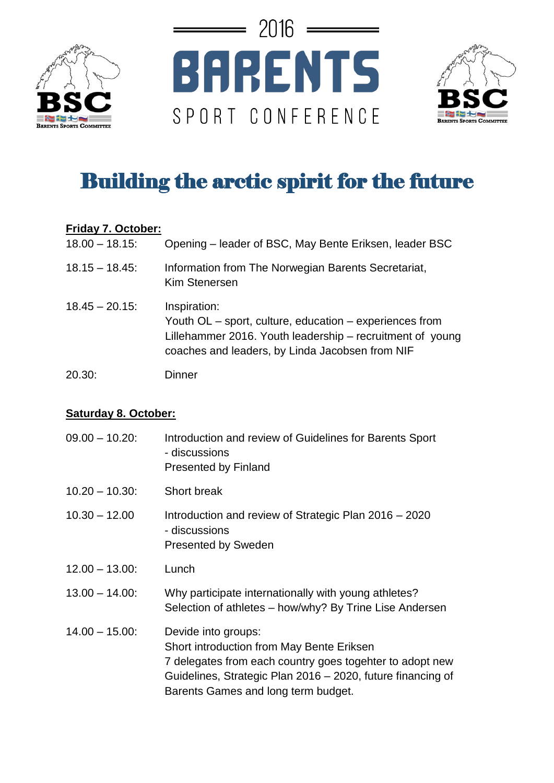





## Building the arctic spirit for the future

## **Friday 7. October:**

| $18.00 - 18.15$ : | Opening - leader of BSC, May Bente Eriksen, leader BSC                                                                                                                                  |
|-------------------|-----------------------------------------------------------------------------------------------------------------------------------------------------------------------------------------|
| $18.15 - 18.45$ : | Information from The Norwegian Barents Secretariat,<br>Kim Stenersen                                                                                                                    |
| $18.45 - 20.15$   | Inspiration:<br>Youth OL – sport, culture, education – experiences from<br>Lillehammer 2016. Youth leadership – recruitment of young<br>coaches and leaders, by Linda Jacobsen from NIF |
| 20.30:            | Dinner                                                                                                                                                                                  |

## **Saturday 8. October:**

| $09.00 - 10.20$ : | Introduction and review of Guidelines for Barents Sport<br>- discussions<br><b>Presented by Finland</b>                                                                                                                            |
|-------------------|------------------------------------------------------------------------------------------------------------------------------------------------------------------------------------------------------------------------------------|
| $10.20 - 10.30$ : | Short break                                                                                                                                                                                                                        |
| $10.30 - 12.00$   | Introduction and review of Strategic Plan 2016 – 2020<br>- discussions<br><b>Presented by Sweden</b>                                                                                                                               |
| $12.00 - 13.00$ : | Lunch                                                                                                                                                                                                                              |
| $13.00 - 14.00$ : | Why participate internationally with young athletes?<br>Selection of athletes – how/why? By Trine Lise Andersen                                                                                                                    |
| $14.00 - 15.00$ : | Devide into groups:<br>Short introduction from May Bente Eriksen<br>7 delegates from each country goes togehter to adopt new<br>Guidelines, Strategic Plan 2016 - 2020, future financing of<br>Barents Games and long term budget. |